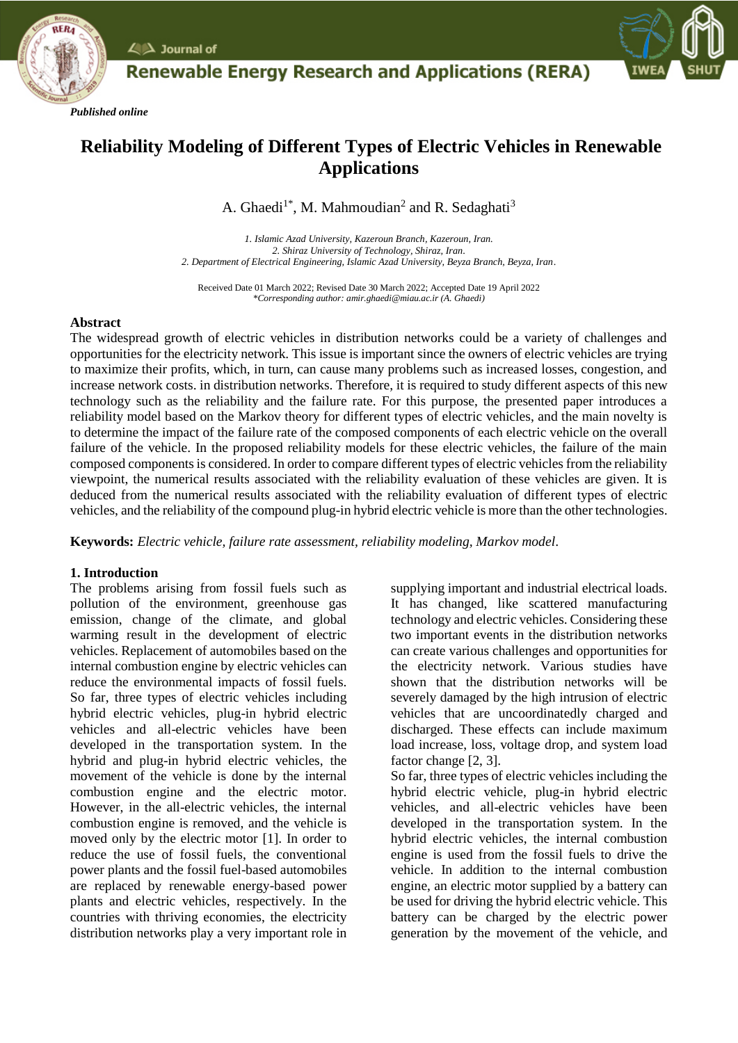

 $\angle$   $\triangle$  Journal of

# **Renewable Energy Research and Applications (RERA)**

# **Reliability Modeling of Different Types of Electric Vehicles in Renewable Applications**

A. Ghaedi<sup>1\*</sup>, M. Mahmoudian<sup>2</sup> and R. Sedaghati<sup>3</sup>

*1. Islamic Azad University, Kazeroun Branch, Kazeroun, Iran. 2. Shiraz University of Technology, Shiraz, Iran*. *2. Department of Electrical Engineering, Islamic Azad University, Beyza Branch, Beyza, Iran*.

Received Date 01 March 2022; Revised Date 30 March 2022; Accepted Date 19 April 2022 *\*Corresponding author: amir.ghaedi@miau.ac.ir (A. Ghaedi)*

# **Abstract**

The widespread growth of electric vehicles in distribution networks could be a variety of challenges and opportunities for the electricity network. This issue is important since the owners of electric vehicles are trying to maximize their profits, which, in turn, can cause many problems such as increased losses, congestion, and increase network costs. in distribution networks. Therefore, it is required to study different aspects of this new technology such as the reliability and the failure rate. For this purpose, the presented paper introduces a reliability model based on the Markov theory for different types of electric vehicles, and the main novelty is to determine the impact of the failure rate of the composed components of each electric vehicle on the overall failure of the vehicle. In the proposed reliability models for these electric vehicles, the failure of the main composed components is considered. In order to compare different types of electric vehicles from the reliability viewpoint, the numerical results associated with the reliability evaluation of these vehicles are given. It is deduced from the numerical results associated with the reliability evaluation of different types of electric vehicles, and the reliability of the compound plug-in hybrid electric vehicle is more than the other technologies.

**Keywords:** *Electric vehicle, failure rate assessment, reliability modeling, Markov model.*

# **1. Introduction**

The problems arising from fossil fuels such as pollution of the environment, greenhouse gas emission, change of the climate, and global warming result in the development of electric vehicles. Replacement of automobiles based on the internal combustion engine by electric vehicles can reduce the environmental impacts of fossil fuels. So far, three types of electric vehicles including hybrid electric vehicles, plug-in hybrid electric vehicles and all-electric vehicles have been developed in the transportation system. In the hybrid and plug-in hybrid electric vehicles, the movement of the vehicle is done by the internal combustion engine and the electric motor. However, in the all-electric vehicles, the internal combustion engine is removed, and the vehicle is moved only by the electric motor [1]. In order to reduce the use of fossil fuels, the conventional power plants and the fossil fuel-based automobiles are replaced by renewable energy-based power plants and electric vehicles, respectively. In the countries with thriving economies, the electricity distribution networks play a very important role in supplying important and industrial electrical loads. It has changed, like scattered manufacturing technology and electric vehicles. Considering these two important events in the distribution networks can create various challenges and opportunities for the electricity network. Various studies have shown that the distribution networks will be severely damaged by the high intrusion of electric vehicles that are uncoordinatedly charged and discharged. These effects can include maximum load increase, loss, voltage drop, and system load factor change [2, 3].

So far, three types of electric vehicles including the hybrid electric vehicle, plug-in hybrid electric vehicles, and all-electric vehicles have been developed in the transportation system. In the hybrid electric vehicles, the internal combustion engine is used from the fossil fuels to drive the vehicle. In addition to the internal combustion engine, an electric motor supplied by a battery can be used for driving the hybrid electric vehicle. This battery can be charged by the electric power generation by the movement of the vehicle, and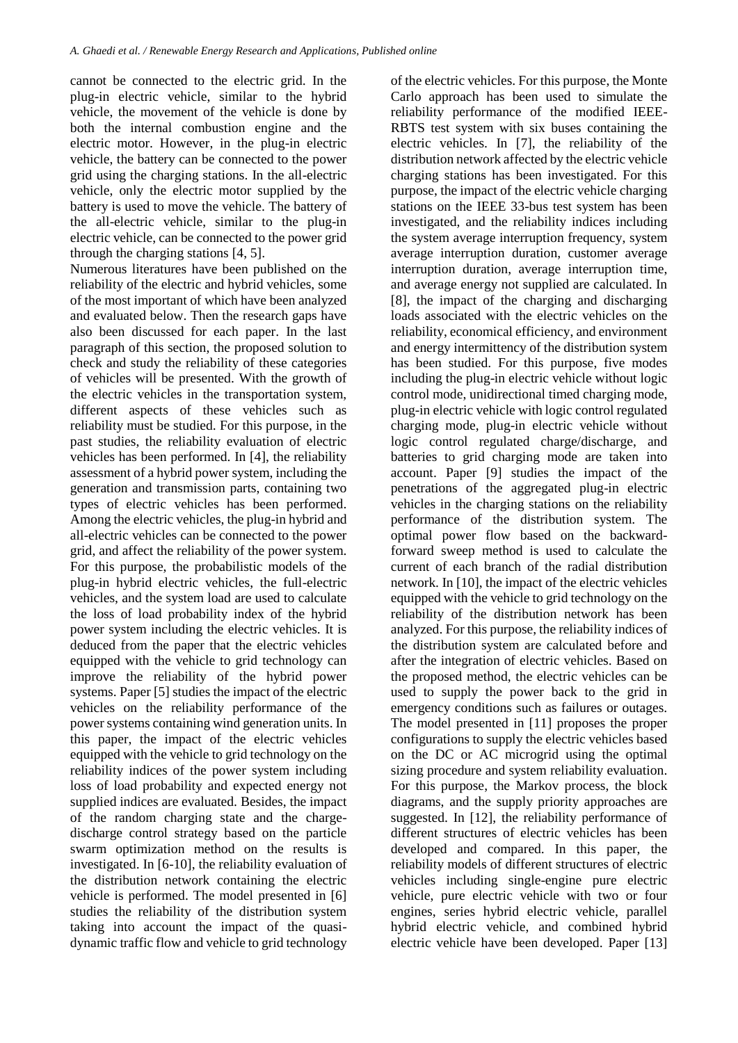cannot be connected to the electric grid. In the plug-in electric vehicle, similar to the hybrid vehicle, the movement of the vehicle is done by both the internal combustion engine and the electric motor. However, in the plug-in electric vehicle, the battery can be connected to the power grid using the charging stations. In the all-electric vehicle, only the electric motor supplied by the battery is used to move the vehicle. The battery of the all-electric vehicle, similar to the plug-in electric vehicle, can be connected to the power grid through the charging stations [4, 5].

Numerous literatures have been published on the reliability of the electric and hybrid vehicles, some of the most important of which have been analyzed and evaluated below. Then the research gaps have also been discussed for each paper. In the last paragraph of this section, the proposed solution to check and study the reliability of these categories of vehicles will be presented. With the growth of the electric vehicles in the transportation system, different aspects of these vehicles such as reliability must be studied. For this purpose, in the past studies, the reliability evaluation of electric vehicles has been performed. In [4], the reliability assessment of a hybrid power system, including the generation and transmission parts, containing two types of electric vehicles has been performed. Among the electric vehicles, the plug-in hybrid and all-electric vehicles can be connected to the power grid, and affect the reliability of the power system. For this purpose, the probabilistic models of the plug-in hybrid electric vehicles, the full-electric vehicles, and the system load are used to calculate the loss of load probability index of the hybrid power system including the electric vehicles. It is deduced from the paper that the electric vehicles equipped with the vehicle to grid technology can improve the reliability of the hybrid power systems. Paper [5] studies the impact of the electric vehicles on the reliability performance of the power systems containing wind generation units. In this paper, the impact of the electric vehicles equipped with the vehicle to grid technology on the reliability indices of the power system including loss of load probability and expected energy not supplied indices are evaluated. Besides, the impact of the random charging state and the chargedischarge control strategy based on the particle swarm optimization method on the results is investigated. In [6-10], the reliability evaluation of the distribution network containing the electric vehicle is performed. The model presented in [6] studies the reliability of the distribution system taking into account the impact of the quasidynamic traffic flow and vehicle to grid technology of the electric vehicles. For this purpose, the Monte Carlo approach has been used to simulate the reliability performance of the modified IEEE-RBTS test system with six buses containing the electric vehicles. In [7], the reliability of the distribution network affected by the electric vehicle charging stations has been investigated. For this purpose, the impact of the electric vehicle charging stations on the IEEE 33-bus test system has been investigated, and the reliability indices including the system average interruption frequency, system average interruption duration, customer average interruption duration, average interruption time, and average energy not supplied are calculated. In [8], the impact of the charging and discharging loads associated with the electric vehicles on the reliability, economical efficiency, and environment and energy intermittency of the distribution system has been studied. For this purpose, five modes including the plug-in electric vehicle without logic control mode, unidirectional timed charging mode, plug-in electric vehicle with logic control regulated charging mode, plug-in electric vehicle without logic control regulated charge/discharge, and batteries to grid charging mode are taken into account. Paper [9] studies the impact of the penetrations of the aggregated plug-in electric vehicles in the charging stations on the reliability performance of the distribution system. The optimal power flow based on the backwardforward sweep method is used to calculate the current of each branch of the radial distribution network. In [10], the impact of the electric vehicles equipped with the vehicle to grid technology on the reliability of the distribution network has been analyzed. For this purpose, the reliability indices of the distribution system are calculated before and after the integration of electric vehicles. Based on the proposed method, the electric vehicles can be used to supply the power back to the grid in emergency conditions such as failures or outages. The model presented in [11] proposes the proper configurations to supply the electric vehicles based on the DC or AC microgrid using the optimal sizing procedure and system reliability evaluation. For this purpose, the Markov process, the block diagrams, and the supply priority approaches are suggested. In [12], the reliability performance of different structures of electric vehicles has been developed and compared. In this paper, the reliability models of different structures of electric vehicles including single-engine pure electric vehicle, pure electric vehicle with two or four engines, series hybrid electric vehicle, parallel hybrid electric vehicle, and combined hybrid electric vehicle have been developed. Paper [13]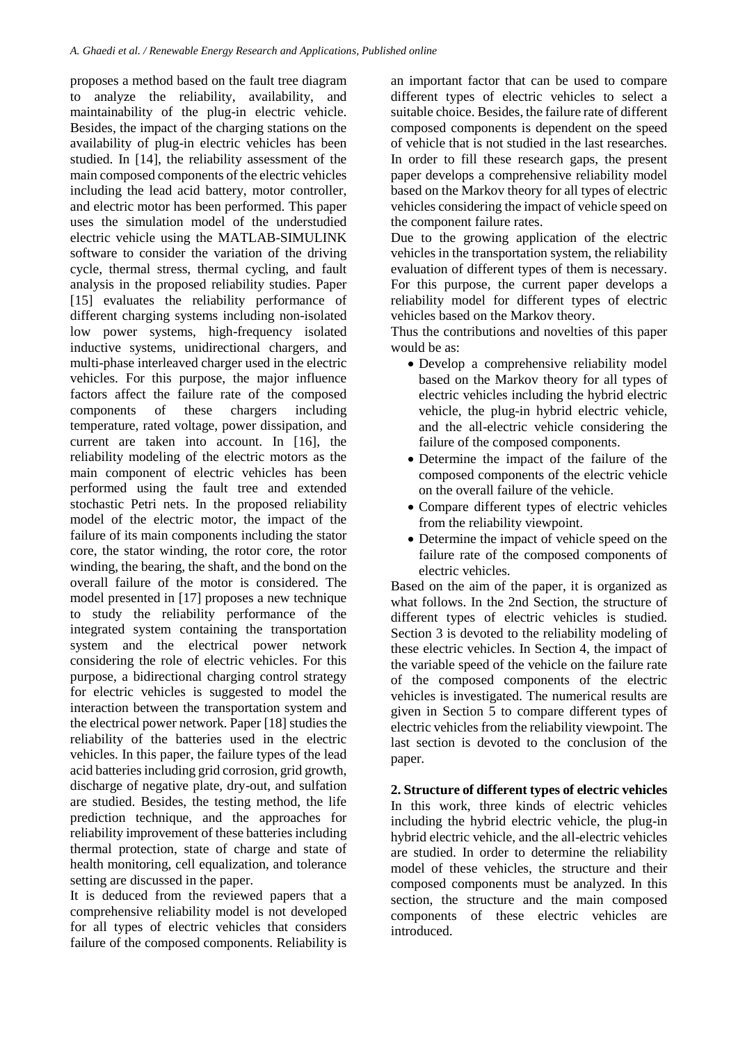proposes a method based on the fault tree diagram to analyze the reliability, availability, and maintainability of the plug-in electric vehicle. Besides, the impact of the charging stations on the availability of plug-in electric vehicles has been studied. In [14], the reliability assessment of the main composed components of the electric vehicles including the lead acid battery, motor controller, and electric motor has been performed. This paper uses the simulation model of the understudied electric vehicle using the MATLAB-SIMULINK software to consider the variation of the driving cycle, thermal stress, thermal cycling, and fault analysis in the proposed reliability studies. Paper [15] evaluates the reliability performance of different charging systems including non-isolated low power systems, high-frequency isolated inductive systems, unidirectional chargers, and multi-phase interleaved charger used in the electric vehicles. For this purpose, the major influence factors affect the failure rate of the composed components of these chargers including temperature, rated voltage, power dissipation, and current are taken into account. In [16], the reliability modeling of the electric motors as the main component of electric vehicles has been performed using the fault tree and extended stochastic Petri nets. In the proposed reliability model of the electric motor, the impact of the failure of its main components including the stator core, the stator winding, the rotor core, the rotor winding, the bearing, the shaft, and the bond on the overall failure of the motor is considered. The model presented in [17] proposes a new technique to study the reliability performance of the integrated system containing the transportation system and the electrical power network considering the role of electric vehicles. For this purpose, a bidirectional charging control strategy for electric vehicles is suggested to model the interaction between the transportation system and the electrical power network. Paper [18] studies the reliability of the batteries used in the electric vehicles. In this paper, the failure types of the lead acid batteries including grid corrosion, grid growth, discharge of negative plate, dry-out, and sulfation are studied. Besides, the testing method, the life prediction technique, and the approaches for reliability improvement of these batteries including thermal protection, state of charge and state of health monitoring, cell equalization, and tolerance setting are discussed in the paper.

It is deduced from the reviewed papers that a comprehensive reliability model is not developed for all types of electric vehicles that considers failure of the composed components. Reliability is an important factor that can be used to compare different types of electric vehicles to select a suitable choice. Besides, the failure rate of different composed components is dependent on the speed of vehicle that is not studied in the last researches. In order to fill these research gaps, the present paper develops a comprehensive reliability model based on the Markov theory for all types of electric vehicles considering the impact of vehicle speed on the component failure rates.

Due to the growing application of the electric vehicles in the transportation system, the reliability evaluation of different types of them is necessary. For this purpose, the current paper develops a reliability model for different types of electric vehicles based on the Markov theory.

Thus the contributions and novelties of this paper would be as:

- Develop a comprehensive reliability model based on the Markov theory for all types of electric vehicles including the hybrid electric vehicle, the plug-in hybrid electric vehicle, and the all-electric vehicle considering the failure of the composed components.
- Determine the impact of the failure of the composed components of the electric vehicle on the overall failure of the vehicle.
- Compare different types of electric vehicles from the reliability viewpoint.
- Determine the impact of vehicle speed on the failure rate of the composed components of electric vehicles.

Based on the aim of the paper, it is organized as what follows. In the 2nd Section, the structure of different types of electric vehicles is studied. Section 3 is devoted to the reliability modeling of these electric vehicles. In Section 4, the impact of the variable speed of the vehicle on the failure rate of the composed components of the electric vehicles is investigated. The numerical results are given in Section 5 to compare different types of electric vehicles from the reliability viewpoint. The last section is devoted to the conclusion of the paper.

**2. Structure of different types of electric vehicles** In this work, three kinds of electric vehicles including the hybrid electric vehicle, the plug-in hybrid electric vehicle, and the all-electric vehicles are studied. In order to determine the reliability model of these vehicles, the structure and their composed components must be analyzed. In this section, the structure and the main composed components of these electric vehicles are introduced.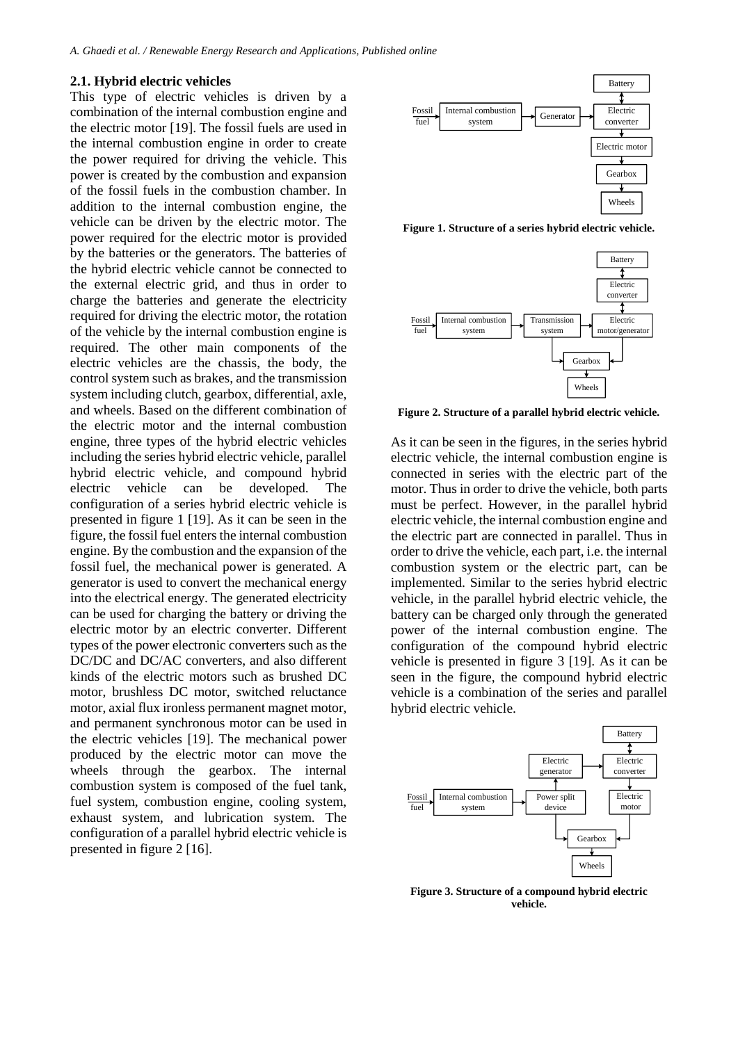#### **2.1. Hybrid electric vehicles**

This type of electric vehicles is driven by a combination of the internal combustion engine and the electric motor [19]. The fossil fuels are used in the internal combustion engine in order to create the power required for driving the vehicle. This power is created by the combustion and expansion of the fossil fuels in the combustion chamber. In addition to the internal combustion engine, the vehicle can be driven by the electric motor. The power required for the electric motor is provided by the batteries or the generators. The batteries of the hybrid electric vehicle cannot be connected to the external electric grid, and thus in order to charge the batteries and generate the electricity required for driving the electric motor, the rotation of the vehicle by the internal combustion engine is required. The other main components of the electric vehicles are the chassis, the body, the control system such as brakes, and the transmission system including clutch, gearbox, differential, axle, and wheels. Based on the different combination of the electric motor and the internal combustion engine, three types of the hybrid electric vehicles including the series hybrid electric vehicle, parallel hybrid electric vehicle, and compound hybrid electric vehicle can be developed. The configuration of a series hybrid electric vehicle is presented in figure 1 [19]. As it can be seen in the figure, the fossil fuel enters the internal combustion engine. By the combustion and the expansion of the fossil fuel, the mechanical power is generated. A generator is used to convert the mechanical energy into the electrical energy. The generated electricity can be used for charging the battery or driving the electric motor by an electric converter. Different types of the power electronic converters such as the DC/DC and DC/AC converters, and also different kinds of the electric motors such as brushed DC motor, brushless DC motor, switched reluctance motor, axial flux ironless permanent magnet motor, and permanent synchronous motor can be used in the electric vehicles [19]. The mechanical power produced by the electric motor can move the wheels through the gearbox. The internal combustion system is composed of the fuel tank, fuel system, combustion engine, cooling system, exhaust system, and lubrication system. The configuration of a parallel hybrid electric vehicle is presented in figure 2 [16].



**Figure 1. Structure of a series hybrid electric vehicle.**



**Figure 2. Structure of a parallel hybrid electric vehicle.**

As it can be seen in the figures, in the series hybrid electric vehicle, the internal combustion engine is connected in series with the electric part of the motor. Thus in order to drive the vehicle, both parts must be perfect. However, in the parallel hybrid electric vehicle, the internal combustion engine and the electric part are connected in parallel. Thus in order to drive the vehicle, each part, i.e. the internal combustion system or the electric part, can be implemented. Similar to the series hybrid electric vehicle, in the parallel hybrid electric vehicle, the battery can be charged only through the generated power of the internal combustion engine. The configuration of the compound hybrid electric vehicle is presented in figure 3 [19]. As it can be seen in the figure, the compound hybrid electric vehicle is a combination of the series and parallel hybrid electric vehicle.



**Figure 3. Structure of a compound hybrid electric vehicle.**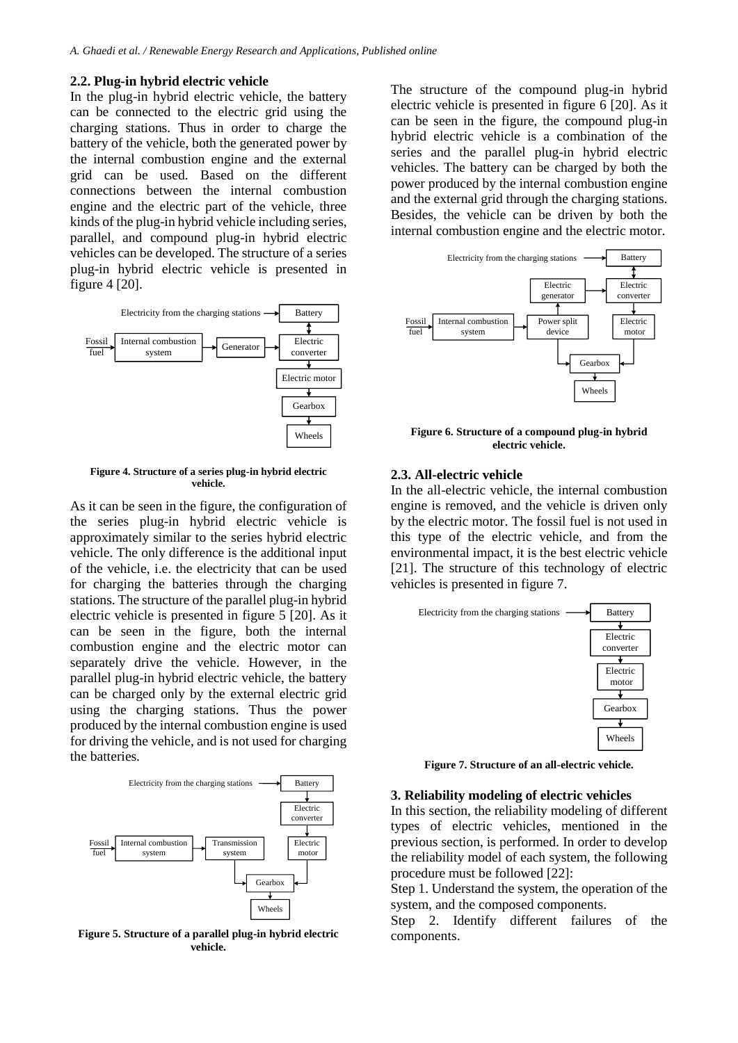#### **2.2. Plug-in hybrid electric vehicle**

In the plug-in hybrid electric vehicle, the battery can be connected to the electric grid using the charging stations. Thus in order to charge the battery of the vehicle, both the generated power by the internal combustion engine and the external grid can be used. Based on the different connections between the internal combustion engine and the electric part of the vehicle, three kinds of the plug-in hybrid vehicle including series, parallel, and compound plug-in hybrid electric vehicles can be developed. The structure of a series plug-in hybrid electric vehicle is presented in figure 4 [20].



**Figure 4. Structure of a series plug-in hybrid electric vehicle.**

As it can be seen in the figure, the configuration of the series plug-in hybrid electric vehicle is approximately similar to the series hybrid electric vehicle. The only difference is the additional input of the vehicle, i.e. the electricity that can be used for charging the batteries through the charging stations. The structure of the parallel plug-in hybrid electric vehicle is presented in figure 5 [20]. As it can be seen in the figure, both the internal combustion engine and the electric motor can separately drive the vehicle. However, in the parallel plug-in hybrid electric vehicle, the battery can be charged only by the external electric grid using the charging stations. Thus the power produced by the internal combustion engine is used for driving the vehicle, and is not used for charging the batteries.



**Figure 5. Structure of a parallel plug-in hybrid electric vehicle.**

The structure of the compound plug-in hybrid electric vehicle is presented in figure 6 [20]. As it can be seen in the figure, the compound plug-in hybrid electric vehicle is a combination of the series and the parallel plug-in hybrid electric vehicles. The battery can be charged by both the power produced by the internal combustion engine and the external grid through the charging stations. Besides, the vehicle can be driven by both the internal combustion engine and the electric motor.



**Figure 6. Structure of a compound plug-in hybrid electric vehicle.**

## **2.3. All-electric vehicle**

In the all-electric vehicle, the internal combustion engine is removed, and the vehicle is driven only by the electric motor. The fossil fuel is not used in this type of the electric vehicle, and from the environmental impact, it is the best electric vehicle [21]. The structure of this technology of electric vehicles is presented in figure 7.



**Figure 7. Structure of an all-electric vehicle.**

#### **3. Reliability modeling of electric vehicles**

In this section, the reliability modeling of different types of electric vehicles, mentioned in the previous section, is performed. In order to develop the reliability model of each system, the following procedure must be followed [22]:

Step 1. Understand the system, the operation of the system, and the composed components.

Step 2. Identify different failures of the components.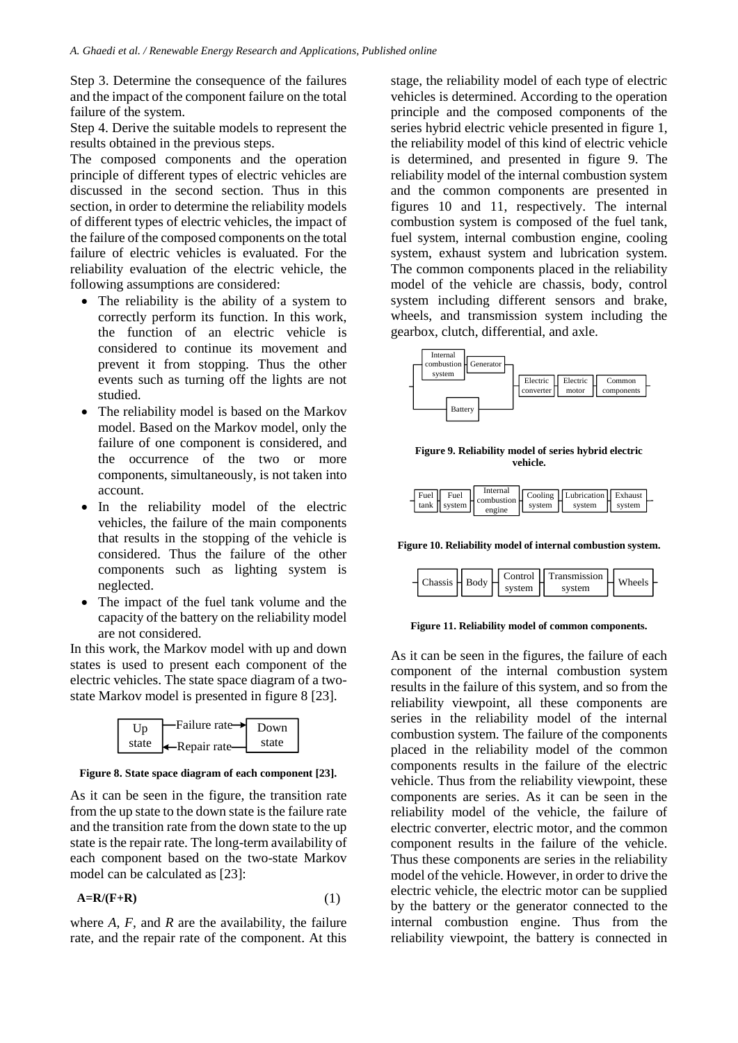Step 3. Determine the consequence of the failures and the impact of the component failure on the total failure of the system.

Step 4. Derive the suitable models to represent the results obtained in the previous steps.

The composed components and the operation principle of different types of electric vehicles are discussed in the second section. Thus in this section, in order to determine the reliability models of different types of electric vehicles, the impact of the failure of the composed components on the total failure of electric vehicles is evaluated. For the reliability evaluation of the electric vehicle, the following assumptions are considered:

- The reliability is the ability of a system to correctly perform its function. In this work, the function of an electric vehicle is considered to continue its movement and prevent it from stopping. Thus the other events such as turning off the lights are not studied.
- The reliability model is based on the Markov model. Based on the Markov model, only the failure of one component is considered, and the occurrence of the two or more components, simultaneously, is not taken into account.
- In the reliability model of the electric vehicles, the failure of the main components that results in the stopping of the vehicle is considered. Thus the failure of the other components such as lighting system is neglected.
- The impact of the fuel tank volume and the capacity of the battery on the reliability model are not considered.

In this work, the Markov model with up and down states is used to present each component of the electric vehicles. The state space diagram of a twostate Markov model is presented in figure 8 [23].



**Figure 8. State space diagram of each component [23].**

As it can be seen in the figure, the transition rate from the up state to the down state is the failure rate and the transition rate from the down state to the up state is the repair rate. The long-term availability of each component based on the two-state Markov model can be calculated as [23]:

$$
A=R/(F+R) \tag{1}
$$

where  $A$ ,  $F$ , and  $R$  are the availability, the failure rate, and the repair rate of the component. At this stage, the reliability model of each type of electric vehicles is determined. According to the operation principle and the composed components of the series hybrid electric vehicle presented in figure 1, the reliability model of this kind of electric vehicle is determined, and presented in figure 9. The reliability model of the internal combustion system and the common components are presented in figures 10 and 11, respectively. The internal combustion system is composed of the fuel tank, fuel system, internal combustion engine, cooling system, exhaust system and lubrication system. The common components placed in the reliability model of the vehicle are chassis, body, control system including different sensors and brake, wheels, and transmission system including the gearbox, clutch, differential, and axle.



**Figure 9. Reliability model of series hybrid electric vehicle.**



**Figure 10. Reliability model of internal combustion system.**



**Figure 11. Reliability model of common components.**

As it can be seen in the figures, the failure of each component of the internal combustion system results in the failure of this system, and so from the reliability viewpoint, all these components are series in the reliability model of the internal combustion system. The failure of the components placed in the reliability model of the common components results in the failure of the electric vehicle. Thus from the reliability viewpoint, these components are series. As it can be seen in the reliability model of the vehicle, the failure of electric converter, electric motor, and the common component results in the failure of the vehicle. Thus these components are series in the reliability model of the vehicle. However, in order to drive the electric vehicle, the electric motor can be supplied by the battery or the generator connected to the internal combustion engine. Thus from the reliability viewpoint, the battery is connected in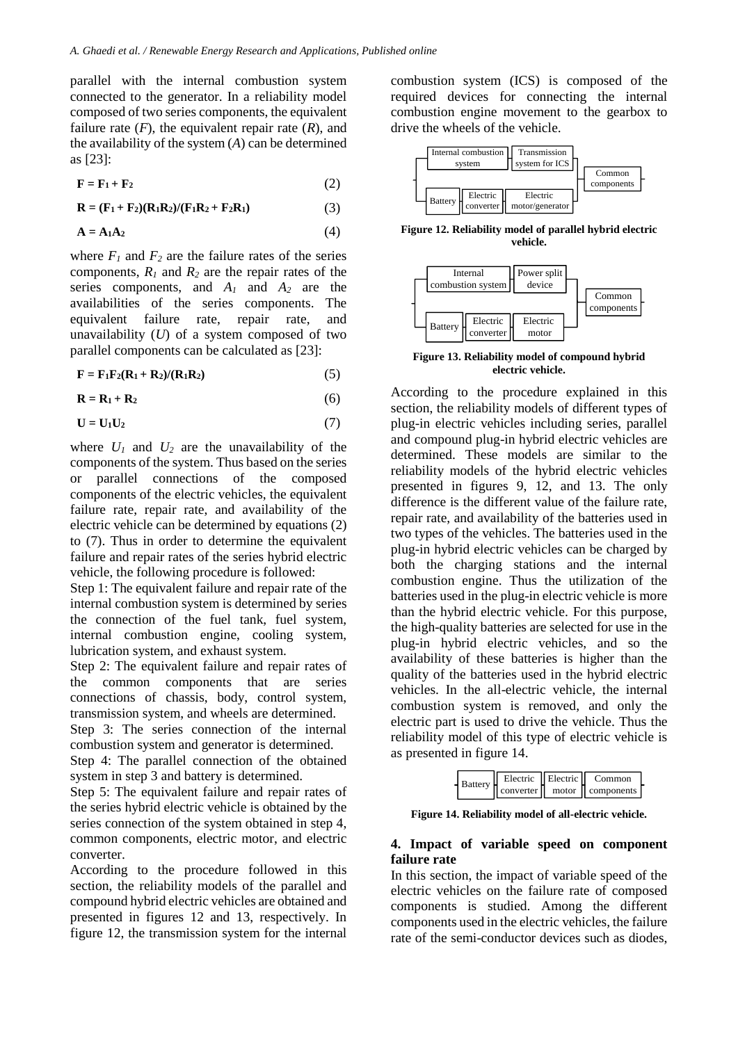parallel with the internal combustion system connected to the generator. In a reliability model composed of two series components, the equivalent failure rate  $(F)$ , the equivalent repair rate  $(R)$ , and the availability of the system (*A*) can be determined as [23]:

$$
\mathbf{F} = \mathbf{F}_1 + \mathbf{F}_2 \tag{2}
$$

 $R = (F_1 + F_2)(R_1R_2)/(F_1R_2 + F_2R_1)$  (3)

$$
\mathbf{A} = \mathbf{A}_1 \mathbf{A}_2 \tag{4}
$$

where  $F_1$  and  $F_2$  are the failure rates of the series components, *R<sup>1</sup>* and *R<sup>2</sup>* are the repair rates of the series components, and *A<sup>1</sup>* and *A<sup>2</sup>* are the availabilities of the series components. The equivalent failure rate, repair rate, and unavailability (*U*) of a system composed of two parallel components can be calculated as [23]:

$$
\mathbf{F} = \mathbf{F}_1 \mathbf{F}_2 (\mathbf{R}_1 + \mathbf{R}_2) / (\mathbf{R}_1 \mathbf{R}_2) \tag{5}
$$

$$
\mathbf{R} = \mathbf{R}_1 + \mathbf{R}_2 \tag{6}
$$

$$
U = U_1 U_2 \tag{7}
$$

where  $U_1$  and  $U_2$  are the unavailability of the components of the system. Thus based on the series or parallel connections of the composed components of the electric vehicles, the equivalent failure rate, repair rate, and availability of the electric vehicle can be determined by equations (2) to (7). Thus in order to determine the equivalent failure and repair rates of the series hybrid electric vehicle, the following procedure is followed:

Step 1: The equivalent failure and repair rate of the internal combustion system is determined by series the connection of the fuel tank, fuel system, internal combustion engine, cooling system, lubrication system, and exhaust system.

Step 2: The equivalent failure and repair rates of the common components that are series connections of chassis, body, control system, transmission system, and wheels are determined.

Step 3: The series connection of the internal combustion system and generator is determined.

Step 4: The parallel connection of the obtained system in step 3 and battery is determined.

Step 5: The equivalent failure and repair rates of the series hybrid electric vehicle is obtained by the series connection of the system obtained in step 4, common components, electric motor, and electric converter.

According to the procedure followed in this section, the reliability models of the parallel and compound hybrid electric vehicles are obtained and presented in figures 12 and 13, respectively. In figure 12, the transmission system for the internal combustion system (ICS) is composed of the required devices for connecting the internal combustion engine movement to the gearbox to drive the wheels of the vehicle.



**Figure 12. Reliability model of parallel hybrid electric vehicle.**



**Figure 13. Reliability model of compound hybrid electric vehicle.**

According to the procedure explained in this section, the reliability models of different types of plug-in electric vehicles including series, parallel and compound plug-in hybrid electric vehicles are determined. These models are similar to the reliability models of the hybrid electric vehicles presented in figures 9, 12, and 13. The only difference is the different value of the failure rate, repair rate, and availability of the batteries used in two types of the vehicles. The batteries used in the plug-in hybrid electric vehicles can be charged by both the charging stations and the internal combustion engine. Thus the utilization of the batteries used in the plug-in electric vehicle is more than the hybrid electric vehicle. For this purpose, the high-quality batteries are selected for use in the plug-in hybrid electric vehicles, and so the availability of these batteries is higher than the quality of the batteries used in the hybrid electric vehicles. In the all-electric vehicle, the internal combustion system is removed, and only the electric part is used to drive the vehicle. Thus the reliability model of this type of electric vehicle is as presented in figure 14.

|  | 4 Battery H |  | Electric    Electric    Common   |
|--|-------------|--|----------------------------------|
|  |             |  | converter   motor   components ' |

**Figure 14. Reliability model of all-electric vehicle.**

## **4. Impact of variable speed on component failure rate**

In this section, the impact of variable speed of the electric vehicles on the failure rate of composed components is studied. Among the different components used in the electric vehicles, the failure rate of the semi-conductor devices such as diodes,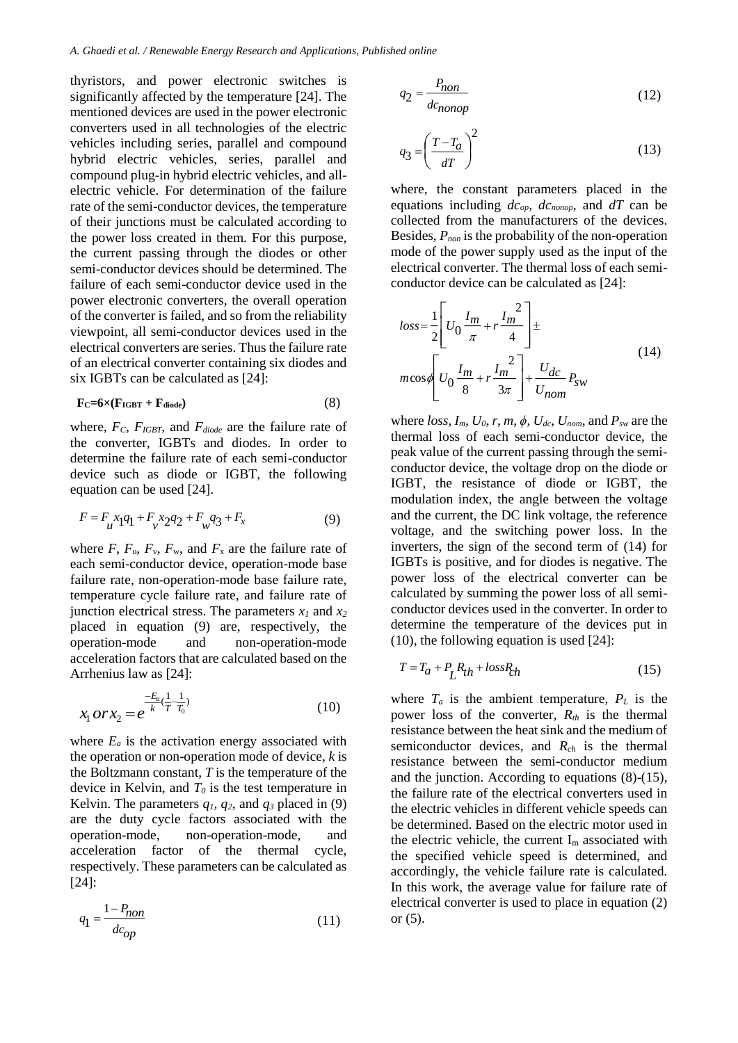thyristors, and power electronic switches is significantly affected by the temperature [24]. The mentioned devices are used in the power electronic converters used in all technologies of the electric vehicles including series, parallel and compound hybrid electric vehicles, series, parallel and compound plug-in hybrid electric vehicles, and allelectric vehicle. For determination of the failure rate of the semi-conductor devices, the temperature of their junctions must be calculated according to the power loss created in them. For this purpose, the current passing through the diodes or other semi-conductor devices should be determined. The failure of each semi-conductor device used in the power electronic converters, the overall operation of the converter is failed, and so from the reliability viewpoint, all semi-conductor devices used in the electrical converters are series. Thus the failure rate of an electrical converter containing six diodes and six IGBTs can be calculated as [24]:

$$
F_C = 6 \times (F_{IGBT} + F_{diode})
$$
 (8)

where, *FC*, *FIGBT*, and *Fdiode* are the failure rate of the converter, IGBTs and diodes. In order to determine the failure rate of each semi-conductor device such as diode or IGBT, the following equation can be used [24].

$$
F = F_u x_1 q_1 + F_v x_2 q_2 + F_w q_3 + F_x \tag{9}
$$

where  $F$ ,  $F_u$ ,  $F_v$ ,  $F_w$ , and  $F_x$  are the failure rate of each semi-conductor device, operation-mode base failure rate, non-operation-mode base failure rate, temperature cycle failure rate, and failure rate of junction electrical stress. The parameters  $x_1$  and  $x_2$ placed in equation (9) are, respectively, the operation-mode and non-operation-mode acceleration factors that are calculated based on the Arrhenius law as [24]:

$$
x_1 \, or \, x_2 = e^{\frac{-E_a}{k}(\frac{1}{T} - \frac{1}{T_0})} \tag{10}
$$

where  $E_a$  is the activation energy associated with the operation or non-operation mode of device, *k* is the Boltzmann constant, *T* is the temperature of the device in Kelvin, and *T<sup>0</sup>* is the test temperature in Kelvin. The parameters  $q_1$ ,  $q_2$ , and  $q_3$  placed in (9) are the duty cycle factors associated with the operation-mode, non-operation-mode, and acceleration factor of the thermal cycle, respectively. These parameters can be calculated as [24]:

$$
q_1 = \frac{1 - P_{non}}{dc_{op}}\tag{11}
$$

$$
q_2 = \frac{P_{non}}{dc_{nonop}}
$$
 (12)

$$
q_3 = \left(\frac{T - T_a}{dT}\right)^2\tag{13}
$$

where, the constant parameters placed in the equations including *dcop, dcnonop*, and *dT* can be collected from the manufacturers of the devices. Besides, *Pnon* is the probability of the non-operation mode of the power supply used as the input of the electrical converter. The thermal loss of each semiconductor device can be calculated as [24]:

$$
loss = \frac{1}{2} \left[ U_0 \frac{I_m}{\pi} + r \frac{I_m^2}{4} \right] \pm
$$
  

$$
m \cos \phi \left[ U_0 \frac{I_m}{8} + r \frac{I_m^2}{3\pi} \right] + \frac{U_{dc}}{U_{nom}} P_{sw}
$$
 (14)

where *loss*, *Im*, *U0*, *r*, *m*, *ϕ*, *Udc*, *Unom*, and *Psw* are the thermal loss of each semi-conductor device, the peak value of the current passing through the semiconductor device, the voltage drop on the diode or IGBT, the resistance of diode or IGBT, the modulation index, the angle between the voltage and the current, the DC link voltage, the reference voltage, and the switching power loss. In the inverters, the sign of the second term of (14) for IGBTs is positive, and for diodes is negative. The power loss of the electrical converter can be calculated by summing the power loss of all semiconductor devices used in the converter. In order to determine the temperature of the devices put in (10), the following equation is used [24]:

$$
T = T_a + P_L R_{th} + loss R_{th}
$$
\n<sup>(15)</sup>

where  $T_a$  is the ambient temperature,  $P_L$  is the power loss of the converter, *Rth* is the thermal resistance between the heat sink and the medium of semiconductor devices, and *Rch* is the thermal resistance between the semi-conductor medium and the junction. According to equations (8)-(15), the failure rate of the electrical converters used in the electric vehicles in different vehicle speeds can be determined. Based on the electric motor used in the electric vehicle, the current  $I_m$  associated with the specified vehicle speed is determined, and accordingly, the vehicle failure rate is calculated. In this work, the average value for failure rate of electrical converter is used to place in equation (2) or (5).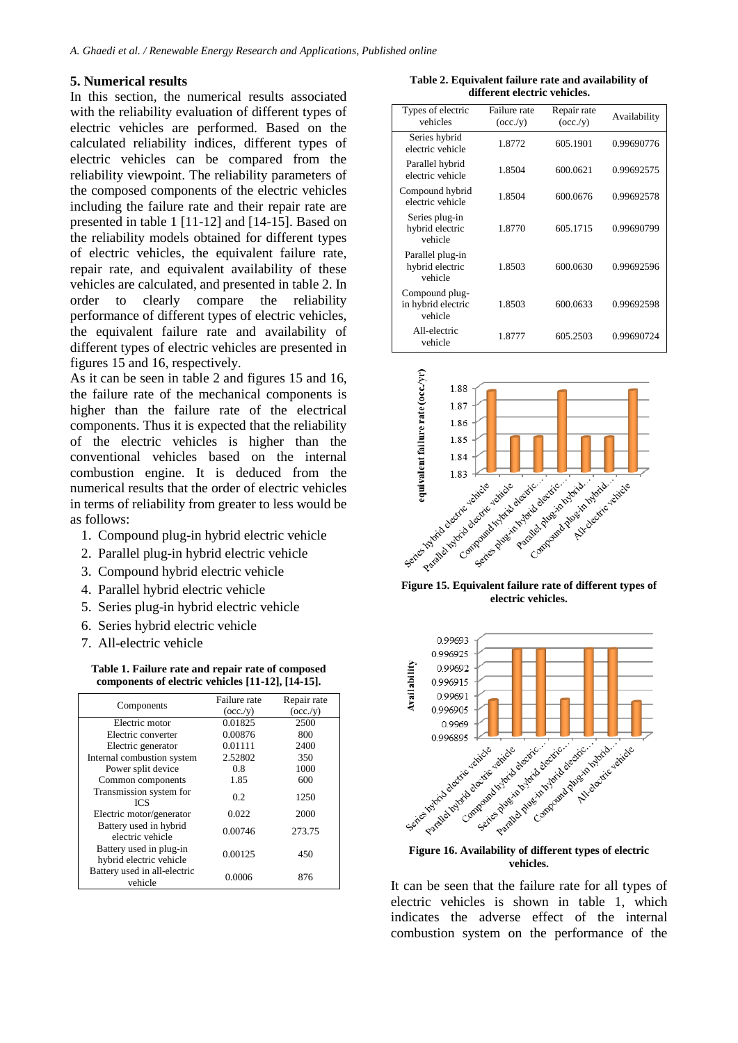### **5. Numerical results**

In this section, the numerical results associated with the reliability evaluation of different types of electric vehicles are performed. Based on the calculated reliability indices, different types of electric vehicles can be compared from the reliability viewpoint. The reliability parameters of the composed components of the electric vehicles including the failure rate and their repair rate are presented in table 1 [11-12] and [14-15]. Based on the reliability models obtained for different types of electric vehicles, the equivalent failure rate, repair rate, and equivalent availability of these vehicles are calculated, and presented in table 2. In order to clearly compare the reliability performance of different types of electric vehicles, the equivalent failure rate and availability of different types of electric vehicles are presented in figures 15 and 16, respectively.

As it can be seen in table 2 and figures 15 and 16, the failure rate of the mechanical components is higher than the failure rate of the electrical components. Thus it is expected that the reliability of the electric vehicles is higher than the conventional vehicles based on the internal combustion engine. It is deduced from the numerical results that the order of electric vehicles in terms of reliability from greater to less would be as follows:

- 1. Compound plug-in hybrid electric vehicle
- 2. Parallel plug-in hybrid electric vehicle
- 3. Compound hybrid electric vehicle
- 4. Parallel hybrid electric vehicle
- 5. Series plug-in hybrid electric vehicle
- 6. Series hybrid electric vehicle
- 7. All-electric vehicle

**Table 1. Failure rate and repair rate of composed components of electric vehicles [11-12], [14-15].**

| Components                                         | Failure rate | Repair rate |
|----------------------------------------------------|--------------|-------------|
|                                                    | (occ./v)     | (occ./y)    |
| Electric motor                                     | 0.01825      | 2500        |
| Electric converter                                 | 0.00876      | 800         |
| Electric generator                                 | 0.01111      | 2400        |
| Internal combustion system                         | 2.52802      | 350         |
| Power split device                                 | 0.8          | 1000        |
| Common components                                  | 1.85         | 600         |
| Transmission system for<br><b>ICS</b>              | 0.2          | 1250        |
| Electric motor/generator                           | 0.022        | 2000        |
| Battery used in hybrid<br>electric vehicle         | 0.00746      | 273.75      |
| Battery used in plug-in<br>hybrid electric vehicle | 0.00125      | 450         |
| Battery used in all-electric<br>vehicle            | 0.0006       | 876         |

**Table 2. Equivalent failure rate and availability of different electric vehicles.**

| Types of electric<br>vehicles                   | Failure rate<br>(occ./y) | Repair rate<br>(occ./y) | Availability |
|-------------------------------------------------|--------------------------|-------------------------|--------------|
| Series hybrid<br>electric vehicle               | 1.8772                   | 605.1901                | 0.99690776   |
| Parallel hybrid<br>electric vehicle             | 1.8504                   | 600.0621                | 0.99692575   |
| Compound hybrid<br>electric vehicle             | 1.8504                   | 600.0676                | 0.99692578   |
| Series plug-in<br>hybrid electric<br>vehicle    | 1.8770                   | 605.1715                | 0.99690799   |
| Parallel plug-in<br>hybrid electric<br>vehicle  | 1.8503                   | 600.0630                | 0.99692596   |
| Compound plug-<br>in hybrid electric<br>vehicle | 1.8503                   | 600.0633                | 0.99692598   |
| All-electric<br>vehicle                         | 1.8777                   | 605.2503                | 0.99690724   |



**electric vehicles.**



**vehicles.**

It can be seen that the failure rate for all types of electric vehicles is shown in table 1, which indicates the adverse effect of the internal combustion system on the performance of the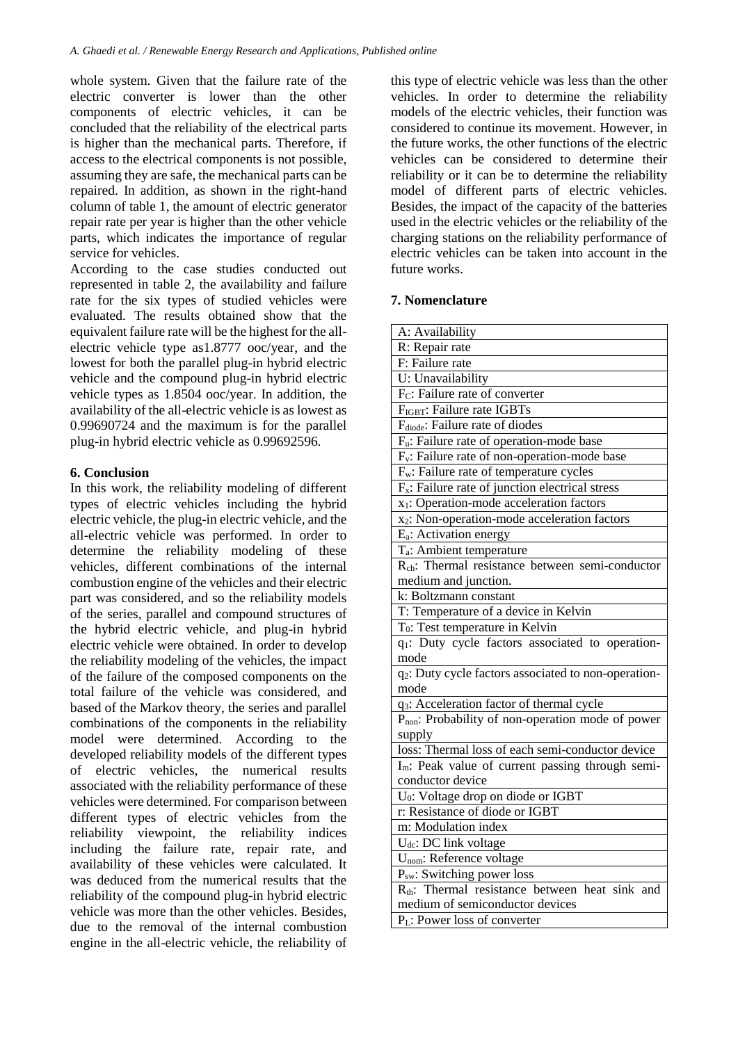whole system. Given that the failure rate of the electric converter is lower than the other components of electric vehicles, it can be concluded that the reliability of the electrical parts is higher than the mechanical parts. Therefore, if access to the electrical components is not possible, assuming they are safe, the mechanical parts can be repaired. In addition, as shown in the right-hand column of table 1, the amount of electric generator repair rate per year is higher than the other vehicle parts, which indicates the importance of regular service for vehicles.

According to the case studies conducted out represented in table 2, the availability and failure rate for the six types of studied vehicles were evaluated. The results obtained show that the equivalent failure rate will be the highest for the allelectric vehicle type as1.8777 ooc/year, and the lowest for both the parallel plug-in hybrid electric vehicle and the compound plug-in hybrid electric vehicle types as 1.8504 ooc/year. In addition, the availability of the all-electric vehicle is as lowest as 0.99690724 and the maximum is for the parallel plug-in hybrid electric vehicle as 0.99692596.

# **6. Conclusion**

In this work, the reliability modeling of different types of electric vehicles including the hybrid electric vehicle, the plug-in electric vehicle, and the all-electric vehicle was performed. In order to determine the reliability modeling of these vehicles, different combinations of the internal combustion engine of the vehicles and their electric part was considered, and so the reliability models of the series, parallel and compound structures of the hybrid electric vehicle, and plug-in hybrid electric vehicle were obtained. In order to develop the reliability modeling of the vehicles, the impact of the failure of the composed components on the total failure of the vehicle was considered, and based of the Markov theory, the series and parallel combinations of the components in the reliability model were determined. According to the developed reliability models of the different types of electric vehicles, the numerical results associated with the reliability performance of these vehicles were determined. For comparison between different types of electric vehicles from the reliability viewpoint, the reliability indices including the failure rate, repair rate, and availability of these vehicles were calculated. It was deduced from the numerical results that the reliability of the compound plug-in hybrid electric vehicle was more than the other vehicles. Besides, due to the removal of the internal combustion engine in the all-electric vehicle, the reliability of this type of electric vehicle was less than the other vehicles. In order to determine the reliability models of the electric vehicles, their function was considered to continue its movement. However, in the future works, the other functions of the electric vehicles can be considered to determine their reliability or it can be to determine the reliability model of different parts of electric vehicles. Besides, the impact of the capacity of the batteries used in the electric vehicles or the reliability of the charging stations on the reliability performance of electric vehicles can be taken into account in the future works.

## **7. Nomenclature**

| A: Availability                                                  |  |  |  |
|------------------------------------------------------------------|--|--|--|
| R: Repair rate                                                   |  |  |  |
| F: Failure rate                                                  |  |  |  |
| U: Unavailability                                                |  |  |  |
| F <sub>C</sub> : Failure rate of converter                       |  |  |  |
| FIGBT: Failure rate IGBTs                                        |  |  |  |
| F <sub>diode</sub> : Failure rate of diodes                      |  |  |  |
| F <sub>u</sub> : Failure rate of operation-mode base             |  |  |  |
| F <sub>v</sub> : Failure rate of non-operation-mode base         |  |  |  |
| F <sub>w</sub> : Failure rate of temperature cycles              |  |  |  |
| $F_x$ : Failure rate of junction electrical stress               |  |  |  |
| x <sub>1</sub> : Operation-mode acceleration factors             |  |  |  |
| x <sub>2</sub> : Non-operation-mode acceleration factors         |  |  |  |
| E <sub>a</sub> : Activation energy                               |  |  |  |
| T <sub>a</sub> : Ambient temperature                             |  |  |  |
| R <sub>ch</sub> : Thermal resistance between semi-conductor      |  |  |  |
| medium and junction.                                             |  |  |  |
| k: Boltzmann constant                                            |  |  |  |
| T: Temperature of a device in Kelvin                             |  |  |  |
| T <sub>0</sub> : Test temperature in Kelvin                      |  |  |  |
| q <sub>1</sub> : Duty cycle factors associated to operation-     |  |  |  |
| mode                                                             |  |  |  |
| q <sub>2</sub> : Duty cycle factors associated to non-operation- |  |  |  |
| mode                                                             |  |  |  |
| q <sub>3</sub> : Acceleration factor of thermal cycle            |  |  |  |
| $P_{\text{non}}$ : Probability of non-operation mode of power    |  |  |  |
| supply                                                           |  |  |  |
| loss: Thermal loss of each semi-conductor device                 |  |  |  |
| I <sub>m</sub> : Peak value of current passing through semi-     |  |  |  |
| conductor device                                                 |  |  |  |
| U <sub>0</sub> : Voltage drop on diode or IGBT                   |  |  |  |
| r: Resistance of diode or IGBT                                   |  |  |  |
| m: Modulation index                                              |  |  |  |
| U <sub>dc</sub> : DC link voltage                                |  |  |  |
| U <sub>nom</sub> : Reference voltage                             |  |  |  |
| P <sub>sw</sub> : Switching power loss                           |  |  |  |
| R <sub>th</sub> : Thermal resistance between heat sink and       |  |  |  |
| medium of semiconductor devices                                  |  |  |  |
| P <sub>L</sub> : Power loss of converter                         |  |  |  |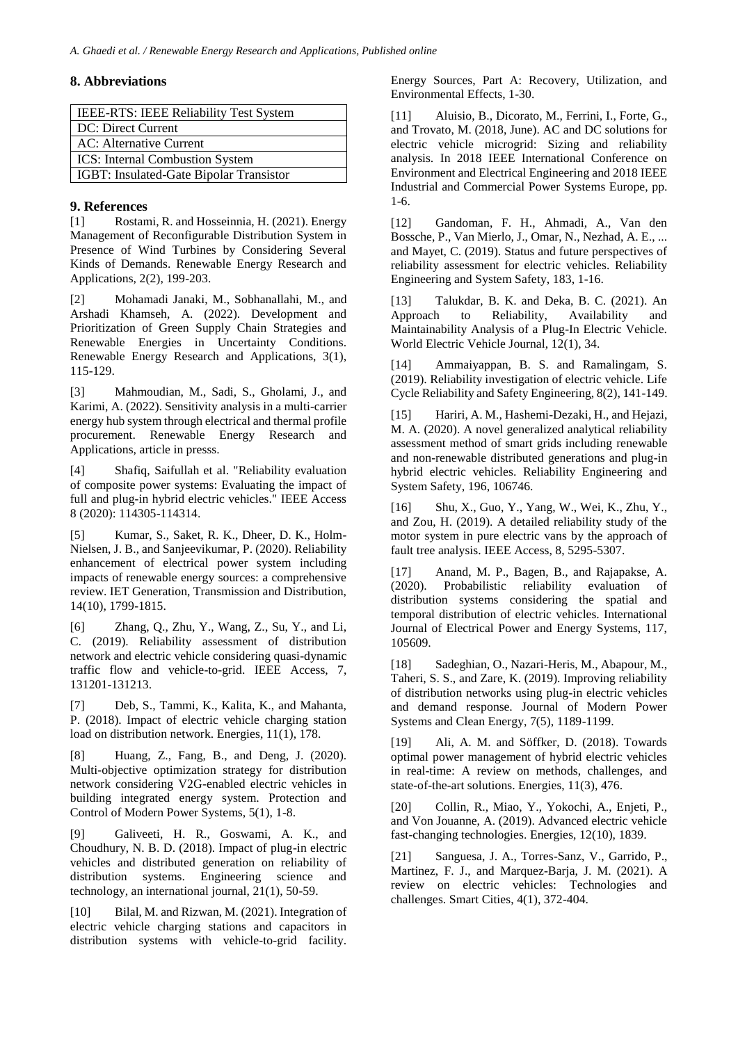## **8. Abbreviations**

| <b>IEEE-RTS: IEEE Reliability Test System</b> |  |
|-----------------------------------------------|--|
| DC: Direct Current                            |  |
| AC: Alternative Current                       |  |
| ICS: Internal Combustion System               |  |
| IGBT: Insulated-Gate Bipolar Transistor       |  |

# **9. References**

[1] Rostami, R. and Hosseinnia, H. (2021). Energy Management of Reconfigurable Distribution System in Presence of Wind Turbines by Considering Several Kinds of Demands. Renewable Energy Research and Applications, 2(2), 199-203.

[2] Mohamadi Janaki, M., Sobhanallahi, M., and Arshadi Khamseh, A. (2022). Development and Prioritization of Green Supply Chain Strategies and Renewable Energies in Uncertainty Conditions. Renewable Energy Research and Applications, 3(1), 115-129.

[3] Mahmoudian, M., Sadi, S., Gholami, J., and Karimi, A. (2022). Sensitivity analysis in a multi-carrier energy hub system through electrical and thermal profile procurement. Renewable Energy Research and Applications, article in presss.

[4] Shafiq, Saifullah et al. "Reliability evaluation of composite power systems: Evaluating the impact of full and plug-in hybrid electric vehicles." IEEE Access 8 (2020): 114305-114314.

[5] Kumar, S., Saket, R. K., Dheer, D. K., Holm-Nielsen, J. B., and Sanjeevikumar, P. (2020). Reliability enhancement of electrical power system including impacts of renewable energy sources: a comprehensive review. IET Generation, Transmission and Distribution, 14(10), 1799-1815.

[6] Zhang, Q., Zhu, Y., Wang, Z., Su, Y., and Li, C. (2019). Reliability assessment of distribution network and electric vehicle considering quasi-dynamic traffic flow and vehicle-to-grid. IEEE Access, 7, 131201-131213.

[7] Deb, S., Tammi, K., Kalita, K., and Mahanta, P. (2018). Impact of electric vehicle charging station load on distribution network. Energies, 11(1), 178.

[8] Huang, Z., Fang, B., and Deng, J. (2020). Multi-objective optimization strategy for distribution network considering V2G-enabled electric vehicles in building integrated energy system. Protection and Control of Modern Power Systems, 5(1), 1-8.

[9] Galiveeti, H. R., Goswami, A. K., and Choudhury, N. B. D. (2018). Impact of plug-in electric vehicles and distributed generation on reliability of distribution systems. Engineering science and technology, an international journal, 21(1), 50-59.

[10] Bilal, M. and Rizwan, M. (2021). Integration of electric vehicle charging stations and capacitors in distribution systems with vehicle-to-grid facility. Energy Sources, Part A: Recovery, Utilization, and Environmental Effects, 1-30.

[11] Aluisio, B., Dicorato, M., Ferrini, I., Forte, G., and Trovato, M. (2018, June). AC and DC solutions for electric vehicle microgrid: Sizing and reliability analysis. In 2018 IEEE International Conference on Environment and Electrical Engineering and 2018 IEEE Industrial and Commercial Power Systems Europe, pp. 1-6.

[12] Gandoman, F. H., Ahmadi, A., Van den Bossche, P., Van Mierlo, J., Omar, N., Nezhad, A. E., ... and Mayet, C. (2019). Status and future perspectives of reliability assessment for electric vehicles. Reliability Engineering and System Safety, 183, 1-16.

[13] Talukdar, B. K. and Deka, B. C. (2021). An Approach to Reliability, Availability and Maintainability Analysis of a Plug-In Electric Vehicle. World Electric Vehicle Journal, 12(1), 34.

[14] Ammaiyappan, B. S. and Ramalingam, S. (2019). Reliability investigation of electric vehicle. Life Cycle Reliability and Safety Engineering, 8(2), 141-149.

[15] Hariri, A. M., Hashemi-Dezaki, H., and Hejazi, M. A. (2020). A novel generalized analytical reliability assessment method of smart grids including renewable and non-renewable distributed generations and plug-in hybrid electric vehicles. Reliability Engineering and System Safety, 196, 106746.

[16] Shu, X., Guo, Y., Yang, W., Wei, K., Zhu, Y., and Zou, H. (2019). A detailed reliability study of the motor system in pure electric vans by the approach of fault tree analysis. IEEE Access, 8, 5295-5307.

[17] Anand, M. P., Bagen, B., and Rajapakse, A. (2020). Probabilistic reliability evaluation of distribution systems considering the spatial and temporal distribution of electric vehicles. International Journal of Electrical Power and Energy Systems, 117, 105609.

[18] Sadeghian, O., Nazari-Heris, M., Abapour, M., Taheri, S. S., and Zare, K. (2019). Improving reliability of distribution networks using plug-in electric vehicles and demand response. Journal of Modern Power Systems and Clean Energy, 7(5), 1189-1199.

[19] Ali, A. M. and Söffker, D. (2018). Towards optimal power management of hybrid electric vehicles in real-time: A review on methods, challenges, and state-of-the-art solutions. Energies, 11(3), 476.

[20] Collin, R., Miao, Y., Yokochi, A., Enjeti, P., and Von Jouanne, A. (2019). Advanced electric vehicle fast-changing technologies. Energies, 12(10), 1839.

[21] Sanguesa, J. A., Torres-Sanz, V., Garrido, P., Martinez, F. J., and Marquez-Barja, J. M. (2021). A review on electric vehicles: Technologies and challenges. Smart Cities, 4(1), 372-404.